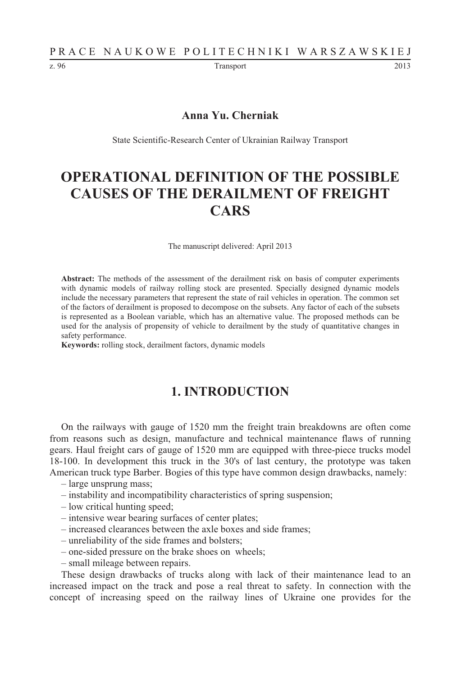z. 96 **Transport** 2013

#### **Anna Yu. Cherniak**

State Scientific-Research Center of Ukrainian Railway Transport

# **OPERATIONAL DEFINITION OF THE POSSIBLE CAUSES OF THE DERAILMENT OF FREIGHT CARS**

The manuscript delivered: April 2013

**Abstract:** The methods of the assessment of the derailment risk on basis of computer experiments with dynamic models of railway rolling stock are presented. Specially designed dynamic models include the necessary parameters that represent the state of rail vehicles in operation. The common set of the factors of derailment is proposed to decompose on the subsets. Any factor of each of the subsets is represented as a Boolean variable, which has an alternative value. The proposed methods can be used for the analysis of propensity of vehicle to derailment by the study of quantitative changes in safety performance.

**Keywords:** rolling stock, derailment factors, dynamic models

# **1. INTRODUCTION**

On the railways with gauge of 1520 mm the freight train breakdowns are often come from reasons such as design, manufacture and technical maintenance flaws of running gears. Haul freight cars of gauge of 1520 mm are equipped with three-piece trucks model 18-100. In development this truck in the 30's of last century, the prototype was taken American truck type Barber. Bogies of this type have common design drawbacks, namely:

- large unsprung mass;
- instability and incompatibility characteristics of spring suspension;
- low critical hunting speed;
- intensive wear bearing surfaces of center plates;
- increased clearances between the axle boxes and side frames;
- unreliability of the side frames and bolsters;
- one-sided pressure on the brake shoes on wheels;
- small mileage between repairs.

These design drawbacks of trucks along with lack of their maintenance lead to an increased impact on the track and pose a real threat to safety. In connection with the concept of increasing speed on the railway lines of Ukraine one provides for the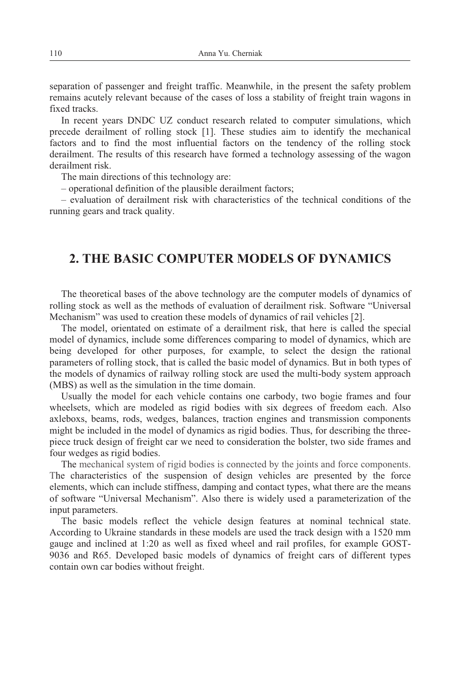separation of passenger and freight traffic. Meanwhile, in the present the safety problem remains acutely relevant because of the cases of loss a stability of freight train wagons in fixed tracks.

In recent years DNDC UZ conduct research related to computer simulations, which precede derailment of rolling stock [1]. These studies aim to identify the mechanical factors and to find the most influential factors on the tendency of the rolling stock derailment. The results of this research have formed a technology assessing of the wagon derailment risk.

The main directions of this technology are:

– operational definition of the plausible derailment factors;

– evaluation of derailment risk with characteristics of the technical conditions of the running gears and track quality.

#### **2. THE BASIC COMPUTER MODELS OF DYNAMICS**

The theoretical bases of the above technology are the computer models of dynamics of rolling stock as well as the methods of evaluation of derailment risk. Software "Universal Mechanism" was used to creation these models of dynamics of rail vehicles [2].

The model, orientated on estimate of a derailment risk, that here is called the special model of dynamics, include some differences comparing to model of dynamics, which are being developed for other purposes, for example, to select the design the rational parameters of rolling stock, that is called the basic model of dynamics. But in both types of the models of dynamics of railway rolling stock are used the multi-body system approach (MBS) as well as the simulation in the time domain.

Usually the model for each vehicle contains one carbody, two bogie frames and four wheelsets, which are modeled as rigid bodies with six degrees of freedom each. Also axleboxs, beams, rods, wedges, balances, traction engines and transmission components might be included in the model of dynamics as rigid bodies. Thus, for describing the threepiece truck design of freight car we need to consideration the bolster, two side frames and four wedges as rigid bodies.

The mechanical system of rigid bodies is connected by the joints and force components. The characteristics of the suspension of design vehicles are presented by the force elements, which can include stiffness, damping and contact types, what there are the means of software "Universal Mechanism". Also there is widely used a parameterization of the input parameters.

The basic models reflect the vehicle design features at nominal technical state. According to Ukraine standards in these models are used the track design with a 1520 mm gauge and inclined at 1:20 as well as fixed wheel and rail profiles, for example GOST-9036 and R65. Developed basic models of dynamics of freight cars of different types contain own car bodies without freight.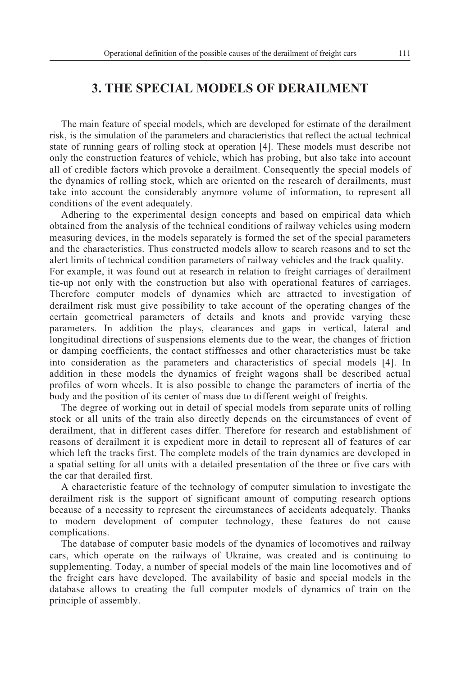#### **3. THE SPECIAL MODELS OF DERAILMENT**

The main feature of special models, which are developed for estimate of the derailment risk, is the simulation of the parameters and characteristics that reflect the actual technical state of running gears of rolling stock at operation [4]. These models must describe not only the construction features of vehicle, which has probing, but also take into account all of credible factors which provoke a derailment. Consequently the special models of the dynamics of rolling stock, which are oriented on the research of derailments, must take into account the considerably anymore volume of information, to represent all conditions of the event adequately.

Adhering to the experimental design concepts and based on empirical data which obtained from the analysis of the technical conditions of railway vehicles using modern measuring devices, in the models separately is formed the set of the special parameters and the characteristics. Thus constructed models allow to search reasons and to set the alert limits of technical condition parameters of railway vehicles and the track quality.

For example, it was found out at research in relation to freight carriages of derailment tie-up not only with the construction but also with operational features of carriages. Therefore computer models of dynamics which are attracted to investigation of derailment risk must give possibility to take account of the operating changes of the certain geometrical parameters of details and knots and provide varying these parameters. In addition the plays, clearances and gaps in vertical, lateral and longitudinal directions of suspensions elements due to the wear, the changes of friction or damping coefficients, the contact stiffnesses and other characteristics must be take into consideration as the parameters and characteristics of special models [4]. In addition in these models the dynamics of freight wagons shall be described actual profiles of worn wheels. It is also possible to change the parameters of inertia of the body and the position of its center of mass due to different weight of freights.

The degree of working out in detail of special models from separate units of rolling stock or all units of the train also directly depends on the circumstances of event of derailment, that in different cases differ. Therefore for research and establishment of reasons of derailment it is expedient more in detail to represent all of features of car which left the tracks first. The complete models of the train dynamics are developed in a spatial setting for all units with a detailed presentation of the three or five cars with the car that derailed first.

A characteristic feature of the technology of computer simulation to investigate the derailment risk is the support of significant amount of computing research options because of a necessity to represent the circumstances of accidents adequately. Thanks to modern development of computer technology, these features do not cause complications.

The database of computer basic models of the dynamics of locomotives and railway cars, which operate on the railways of Ukraine, was created and is continuing to supplementing. Today, a number of special models of the main line locomotives and of the freight cars have developed. The availability of basic and special models in the database allows to creating the full computer models of dynamics of train on the principle of assembly.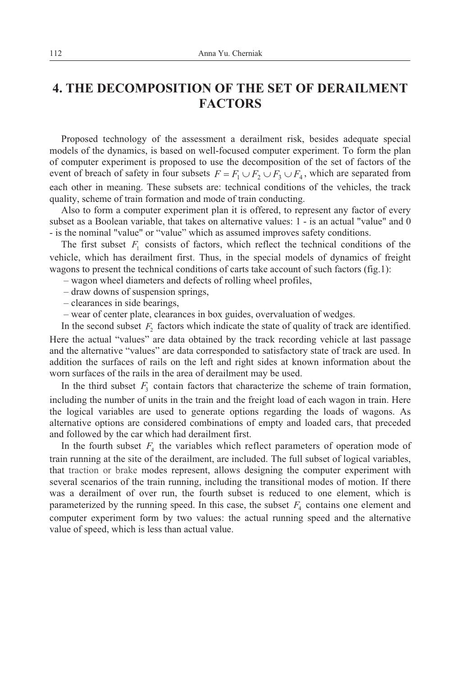### **4. THE DECOMPOSITION OF THE SET OF DERAILMENT FACTORS**

Proposed technology of the assessment a derailment risk, besides adequate special models of the dynamics, is based on well-focused computer experiment. To form the plan of computer experiment is proposed to use the decomposition of the set of factors of the event of breach of safety in four subsets  $F = F_1 \cup F_2 \cup F_3 \cup F_4$ , which are separated from each other in meaning. These subsets are: technical conditions of the vehicles, the track quality, scheme of train formation and mode of train conducting.

Also to form a computer experiment plan it is offered, to represent any factor of every subset as a Boolean variable, that takes on alternative values: 1 - is an actual "value" and 0 - is the nominal "value" or "value" which as assumed improves safety conditions.

The first subset  $F_1$  consists of factors, which reflect the technical conditions of the vehicle, which has derailment first. Thus, in the special models of dynamics of freight wagons to present the technical conditions of carts take account of such factors (fig.1):

- wagon wheel diameters and defects of rolling wheel profiles,
- draw downs of suspension springs,
- clearances in side bearings,
- wear of center plate, clearances in box guides, overvaluation of wedges.

In the second subset  $F_2$  factors which indicate the state of quality of track are identified. Here the actual "values" are data obtained by the track recording vehicle at last passage and the alternative "values" are data corresponded to satisfactory state of track are used. In addition the surfaces of rails on the left and right sides at known information about the worn surfaces of the rails in the area of derailment may be used.

In the third subset  $F_3$  contain factors that characterize the scheme of train formation, including the number of units in the train and the freight load of each wagon in train. Here the logical variables are used to generate options regarding the loads of wagons. As alternative options are considered combinations of empty and loaded cars, that preceded and followed by the car which had derailment first.

In the fourth subset  $F_4$  the variables which reflect parameters of operation mode of train running at the site of the derailment, are included. The full subset of logical variables, that traction or brake modes represent, allows designing the computer experiment with several scenarios of the train running, including the transitional modes of motion. If there was a derailment of over run, the fourth subset is reduced to one element, which is parameterized by the running speed. In this case, the subset  $F_4$  contains one element and computer experiment form by two values: the actual running speed and the alternative value of speed, which is less than actual value.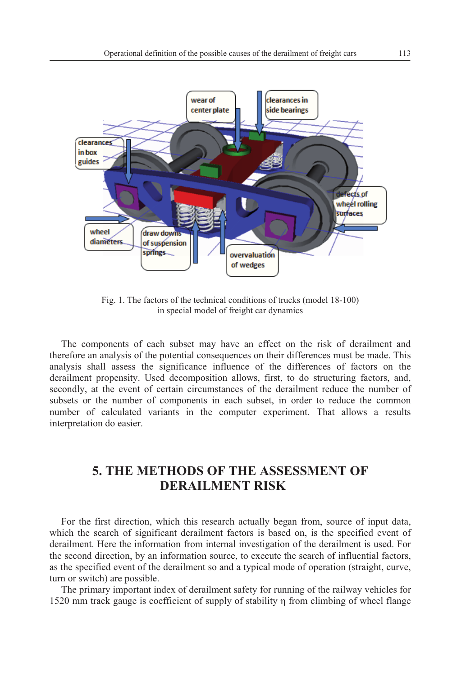

Fig. 1. The factors of the technical conditions of trucks (model 18-100) in special model of freight car dynamics

The components of each subset may have an effect on the risk of derailment and therefore an analysis of the potential consequences on their differences must be made. This analysis shall assess the significance influence of the differences of factors on the derailment propensity. Used decomposition allows, first, to do structuring factors, and, secondly, at the event of certain circumstances of the derailment reduce the number of subsets or the number of components in each subset, in order to reduce the common number of calculated variants in the computer experiment. That allows a results interpretation do easier.

## **5. THE METHODS OF THE ASSESSMENT OF DERAILMENT RISK**

For the first direction, which this research actually began from, source of input data, which the search of significant derailment factors is based on, is the specified event of derailment. Here the information from internal investigation of the derailment is used. For the second direction, by an information source, to execute the search of influential factors, as the specified event of the derailment so and a typical mode of operation (straight, curve, turn or switch) are possible.

The primary important index of derailment safety for running of the railway vehicles for 1520 mm track gauge is coefficient of supply of stability from climbing of wheel flange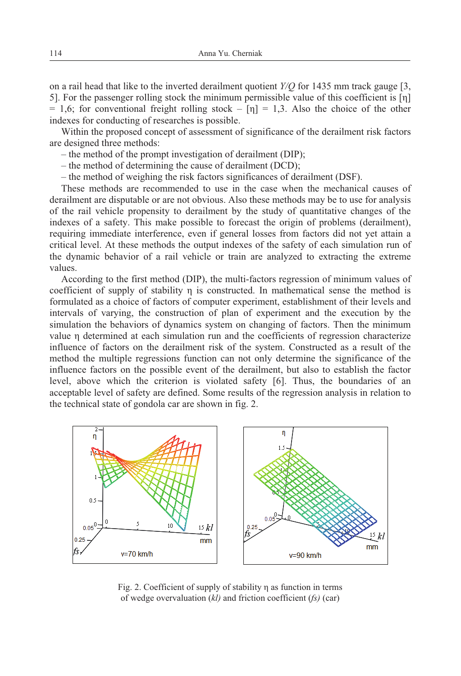on a rail head that like to the inverted derailment quotient *Y/Q* for 1435 mm track gauge [3, 5]. For the passenger rolling stock the minimum permissible value of this coefficient is  $[n]$  $= 1.6$ ; for conventional freight rolling stock – [n] = 1.3. Also the choice of the other indexes for conducting of researches is possible.

Within the proposed concept of assessment of significance of the derailment risk factors are designed three methods:

- the method of the prompt investigation of derailment (DIP);
- the method of determining the cause of derailment (DCD);
- the method of weighing the risk factors significances of derailment (DSF).

These methods are recommended to use in the case when the mechanical causes of derailment are disputable or are not obvious. Also these methods may be to use for analysis of the rail vehicle propensity to derailment by the study of quantitative changes of the indexes of a safety. This make possible to forecast the origin of problems (derailment), requiring immediate interference, even if general losses from factors did not yet attain a critical level. At these methods the output indexes of the safety of each simulation run of the dynamic behavior of a rail vehicle or train are analyzed to extracting the extreme values.

According to the first method (DIP), the multi-factors regression of minimum values of coefficient of supply of stability  $\eta$  is constructed. In mathematical sense the method is formulated as a choice of factors of computer experiment, establishment of their levels and intervals of varying, the construction of plan of experiment and the execution by the simulation the behaviors of dynamics system on changing of factors. Then the minimum value n determined at each simulation run and the coefficients of regression characterize influence of factors on the derailment risk of the system. Constructed as a result of the method the multiple regressions function can not only determine the significance of the influence factors on the possible event of the derailment, but also to establish the factor level, above which the criterion is violated safety [6]. Thus, the boundaries of an acceptable level of safety are defined. Some results of the regression analysis in relation to the technical state of gondola car are shown in fig. 2.



Fig. 2. Coefficient of supply of stability  $\eta$  as function in terms of wedge overvaluation (*kl)* and friction coefficient (*fs)* (car)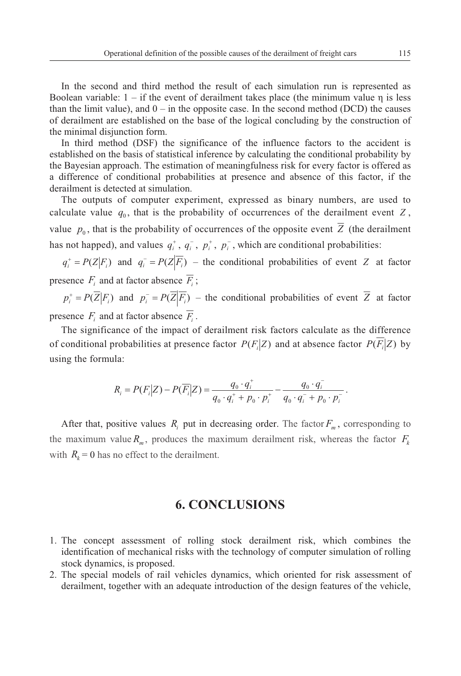In the second and third method the result of each simulation run is represented as Boolean variable:  $1 -$  if the event of derailment takes place (the minimum value  $\eta$  is less than the limit value), and  $0 -$  in the opposite case. In the second method (DCD) the causes of derailment are established on the base of the logical concluding by the construction of the minimal disjunction form.

In third method (DSF) the significance of the influence factors to the accident is established on the basis of statistical inference by calculating the conditional probability by the Bayesian approach. The estimation of meaningfulness risk for every factor is offered as a difference of conditional probabilities at presence and absence of this factor, if the derailment is detected at simulation.

The outputs of computer experiment, expressed as binary numbers, are used to calculate value  $q_0$ , that is the probability of occurrences of the derailment event  $Z$ , value  $p_0$ , that is the probability of occurrences of the opposite event  $\overline{Z}$  (the derailment has not happed), and values  $q_i^+$ ,  $q_i^-$ ,  $p_i^+$ ,  $p_i^-$ , which are conditional probabilities:

 $q_i^+ = P(Z|F_i)$  and  $q_i^- = P(Z|\overline{F_i})$  – the conditional probabilities of event *Z* at factor presence  $F_i$  and at factor absence  $\overline{F_i}$ ;

 $p_i^+ = P(\overline{Z} | F_i)$  and  $p_i^- = P(\overline{Z} | \overline{F_i})$  – the conditional probabilities of event  $\overline{Z}$  at factor presence  $F_i$  and at factor absence  $\overline{F_i}$ .

The significance of the impact of derailment risk factors calculate as the difference of conditional probabilities at presence factor  $P(F_i|Z)$  and at absence factor  $P(F_i|Z)$  by using the formula:

$$
R_i = P(F_i|Z) - P(\overline{F_i}|Z) = \frac{q_0 \cdot q_i^+}{q_0 \cdot q_i^+ + p_0 \cdot p_i^+} - \frac{q_0 \cdot q_i^-}{q_0 \cdot q_i^- + p_0 \cdot p_i^-}.
$$

After that, positive values  $R_i$  put in decreasing order. The factor  $F_m$ , corresponding to the maximum value  $R_m$ , produces the maximum derailment risk, whereas the factor  $F_k$ with  $R_k = 0$  has no effect to the derailment.

#### **6. CONCLUSIONS**

- 1. The concept assessment of rolling stock derailment risk, which combines the identification of mechanical risks with the technology of computer simulation of rolling stock dynamics, is proposed.
- 2. The special models of rail vehicles dynamics, which oriented for risk assessment of derailment, together with an adequate introduction of the design features of the vehicle,